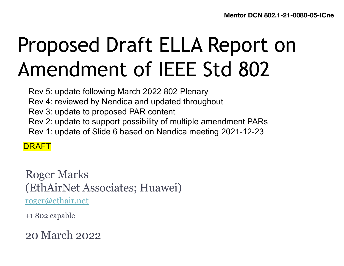# Proposed Draft ELLA Report on Amendment of IEEE Std 802

Rev 5: update following March 2022 802 Plenary

Rev 4: reviewed by Nendica and updated throughout

- Rev 3: update to proposed PAR content
- Rev 2: update to support possibility of multiple amendment PARs
- Rev 1: update of Slide 6 based on Nendica meeting 2021-12-23

DRAFT

Roger Marks (EthAirNet Associates; Huawei) [roger@ethair.ne](mailto:roger@ethair.net)t

+1 802 capable

20 March 2022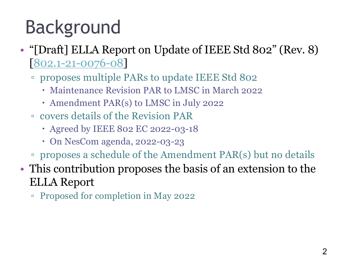# Background

- "[Draft] ELLA Report on Update of IEEE Std 802" (Rev. 8) [\[802.1-21-0076-08](https://mentor.ieee.org/802.1/documents?is_group=ICne&is_year=2021&is_dcn=0076)]
	- proposes multiple PARs to update IEEE Std 802
		- Maintenance Revision PAR to LMSC in March 2022
		- Amendment PAR(s) to LMSC in July 2022
	- covers details of the Revision PAR
		- Agreed by IEEE 802 EC 2022-03-18
		- On NesCom agenda, 2022-03-23
	- proposes a schedule of the Amendment PAR(s) but no details
- This contribution proposes the basis of an extension to the ELLA Report
	- Proposed for completion in May 2022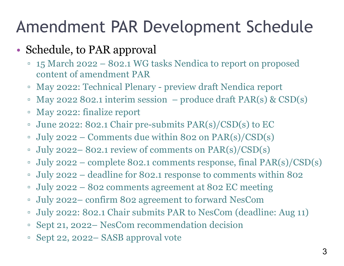#### Amendment PAR Development Schedule

#### • Schedule, to PAR approval

- 15 March 2022 802.1 WG tasks Nendica to report on proposed content of amendment PAR
- May 2022: Technical Plenary preview draft Nendica report
- $\textdegree$  May 2022 802.1 interim session produce draft PAR(s) & CSD(s)
- May 2022: finalize report
- June 2022: 802.1 Chair pre-submits PAR(s)/CSD(s) to EC
- July 2022 Comments due within 802 on PAR(s)/CSD(s)
- July 2022– 802.1 review of comments on PAR(s)/CSD(s)
- $\bullet$  July 2022 complete 802.1 comments response, final PAR(s)/CSD(s)
- July 2022 deadline for 802.1 response to comments within 802
- July 2022 802 comments agreement at 802 EC meeting
- July 2022– confirm 802 agreement to forward NesCom
- July 2022: 802.1 Chair submits PAR to NesCom (deadline: Aug 11)
- Sept 21, 2022– NesCom recommendation decision
- Sept 22, 2022– SASB approval vote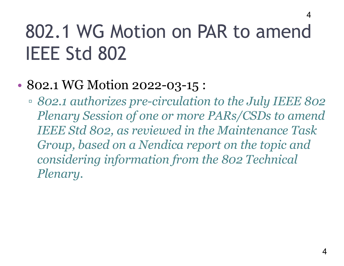## 802.1 WG Motion on PAR to amend IEEE Std 802

#### • 802.1 WG Motion 2022-03-15 :

▫ *802.1 authorizes pre-circulation to the July IEEE 802 Plenary Session of one or more PARs/CSDs to amend IEEE Std 802, as reviewed in the Maintenance Task Group, based on a Nendica report on the topic and considering information from the 802 Technical Plenary.*

4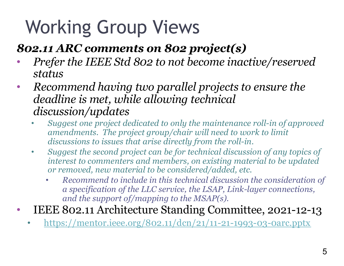# Working Group Views

#### *802.11 ARC comments on 802 project(s)*

- *Prefer the IEEE Std 802 to not become inactive/reserved status*
- *Recommend having two parallel projects to ensure the deadline is met, while allowing technical discussion/updates*
	- *Suggest one project dedicated to only the maintenance roll-in of approved amendments. The project group/chair will need to work to limit discussions to issues that arise directly from the roll-in.*
	- *Suggest the second project can be for technical discussion of any topics of interest to commenters and members, on existing material to be updated or removed, new material to be considered/added, etc.*
		- *Recommend to include in this technical discussion the consideration of a specification of the LLC service, the LSAP, Link-layer connections, and the support of/mapping to the MSAP(s).*
- IEEE 802.11 Architecture Standing Committee, 2021-12-13
	- <https://mentor.ieee.org/802.11/dcn/21/11-21-1993-03-0arc.pptx>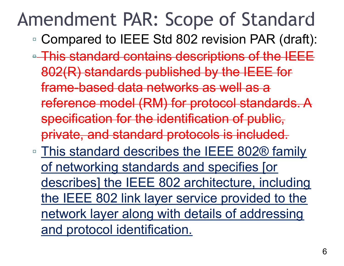#### Amendment PAR: Scope of Standard 6

- Compared to IEEE Std 802 revision PAR (draft):
- **This standard contains descriptions of the IEEE** 802(R) standards published by the IEEE for frame-based data networks as well as a reference model (RM) for protocol standards. A specification for the identification of public, private, and standard protocols is included.
- This standard describes the IEEE 802® family of networking standards and specifies [or describes] the IEEE 802 architecture, including the IEEE 802 link layer service provided to the network layer along with details of addressing and protocol identification.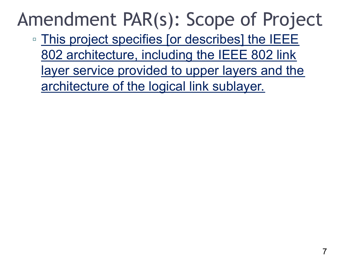### Amendment PAR(s): Scope of Project

□ This project specifies [or describes] the IEEE 802 architecture, including the IEEE 802 link layer service provided to upper layers and the architecture of the logical link sublayer.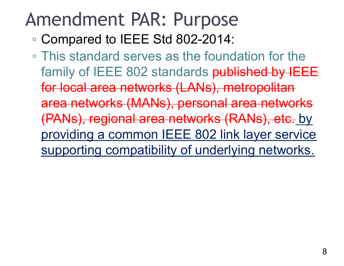#### Amendment PAR: Purpose

- Compared to IEEE Std 802-2014:
- This standard serves as the foundation for the family of IEEE 802 standards published by IEEE for local area networks (LANs), metropolitan area networks (MANs), personal area networks (PANs), regional area networks (RANs), etc. by providing a common IEEE 802 link layer service supporting compatibility of underlying networks.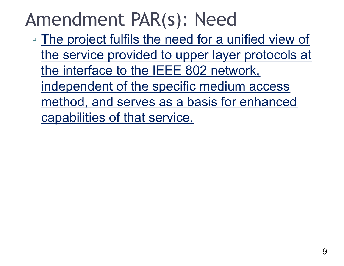### Amendment PAR(s): Need

▫ The project fulfils the need for a unified view of the service provided to upper layer protocols at the interface to the IEEE 802 network, independent of the specific medium access method, and serves as a basis for enhanced capabilities of that service.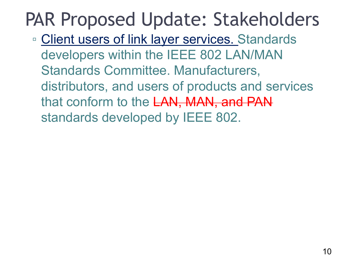## PAR Proposed Update: Stakeholders

□ Client users of link layer services. Standards developers within the IEEE 802 LAN/MAN Standards Committee. Manufacturers, distributors, and users of products and services that conform to the LAN, MAN, and PAN standards developed by IEEE 802.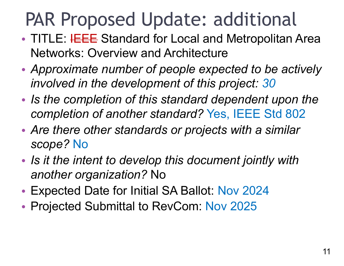## PAR Proposed Update: additional

- TITLE: HEEE Standard for Local and Metropolitan Area Networks: Overview and Architecture
- *Approximate number of people expected to be actively involved in the development of this project: 30*
- *Is the completion of this standard dependent upon the completion of another standard?* Yes, IEEE Std 802
- *Are there other standards or projects with a similar scope?* No
- *Is it the intent to develop this document jointly with another organization?* No
- Expected Date for Initial SA Ballot: Nov 2024
- Projected Submittal to RevCom: Nov 2025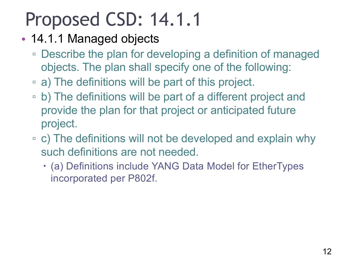### Proposed CSD: 14.1.1

- 14.1.1 Managed objects
	- Describe the plan for developing a definition of managed objects. The plan shall specify one of the following:
	- a) The definitions will be part of this project.
	- b) The definitions will be part of a different project and provide the plan for that project or anticipated future project.
	- c) The definitions will not be developed and explain why such definitions are not needed.
		- (a) Definitions include YANG Data Model for EtherTypes incorporated per P802f.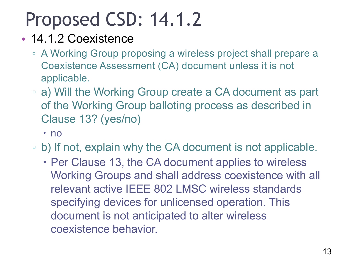## Proposed CSD: 14.1.2

#### • 14.1.2 Coexistence

- A Working Group proposing a wireless project shall prepare a Coexistence Assessment (CA) document unless it is not applicable.
- a) Will the Working Group create a CA document as part of the Working Group balloting process as described in Clause 13? (yes/no)
	- · no
- b) If not, explain why the CA document is not applicable.
	- Per Clause 13, the CA document applies to wireless Working Groups and shall address coexistence with all relevant active IEEE 802 LMSC wireless standards specifying devices for unlicensed operation. This document is not anticipated to alter wireless coexistence behavior.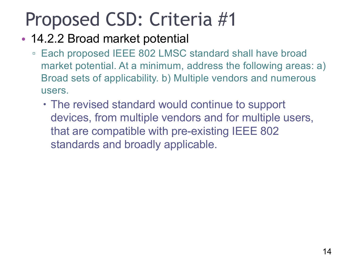- 14.2.2 Broad market potential
	- Each proposed IEEE 802 LMSC standard shall have broad market potential. At a minimum, address the following areas: a) Broad sets of applicability. b) Multiple vendors and numerous users.
		- The revised standard would continue to support devices, from multiple vendors and for multiple users, that are compatible with pre-existing IEEE 802 standards and broadly applicable.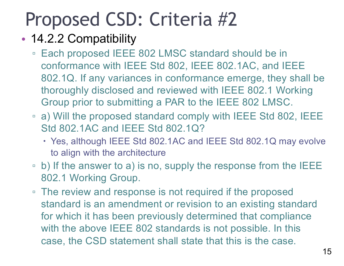#### • 14.2.2 Compatibility

- Each proposed IEEE 802 LMSC standard should be in conformance with IEEE Std 802, IEEE 802.1AC, and IEEE 802.1Q. If any variances in conformance emerge, they shall be thoroughly disclosed and reviewed with IEEE 802.1 Working Group prior to submitting a PAR to the IEEE 802 LMSC.
- a) Will the proposed standard comply with IEEE Std 802, IEEE Std 802.1AC and IEEE Std 802.1Q?
	- Yes, although IEEE Std 802.1AC and IEEE Std 802.1Q may evolve to align with the architecture
- b) If the answer to a) is no, supply the response from the IEEE 802.1 Working Group.
- The review and response is not required if the proposed standard is an amendment or revision to an existing standard for which it has been previously determined that compliance with the above IEEE 802 standards is not possible. In this case, the CSD statement shall state that this is the case.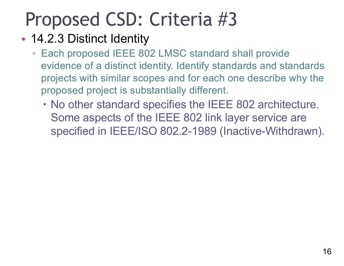#### • 14.2.3 Distinct Identity

- Each proposed IEEE 802 LMSC standard shall provide evidence of a distinct identity. Identify standards and standards projects with similar scopes and for each one describe why the proposed project is substantially different.
	- No other standard specifies the IEEE 802 architecture. Some aspects of the IEEE 802 link layer service are specified in IEEE/ISO 802.2-1989 (Inactive-Withdrawn).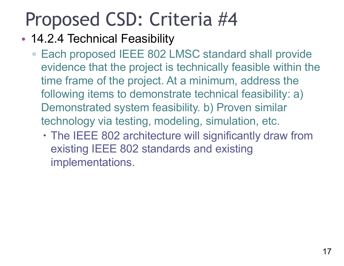- 14.2.4 Technical Feasibility
	- Each proposed IEEE 802 LMSC standard shall provide evidence that the project is technically feasible within the time frame of the project. At a minimum, address the following items to demonstrate technical feasibility: a) Demonstrated system feasibility. b) Proven similar technology via testing, modeling, simulation, etc.
		- The IEEE 802 architecture will significantly draw from existing IEEE 802 standards and existing implementations.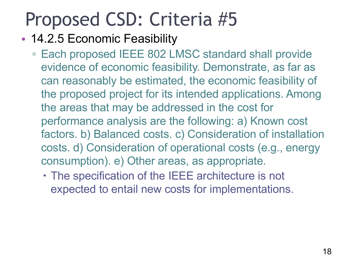#### • 14.2.5 Economic Feasibility

- Each proposed IEEE 802 LMSC standard shall provide evidence of economic feasibility. Demonstrate, as far as can reasonably be estimated, the economic feasibility of the proposed project for its intended applications. Among the areas that may be addressed in the cost for performance analysis are the following: a) Known cost factors. b) Balanced costs. c) Consideration of installation costs. d) Consideration of operational costs (e.g., energy consumption). e) Other areas, as appropriate.
	- The specification of the IEEE architecture is not expected to entail new costs for implementations.